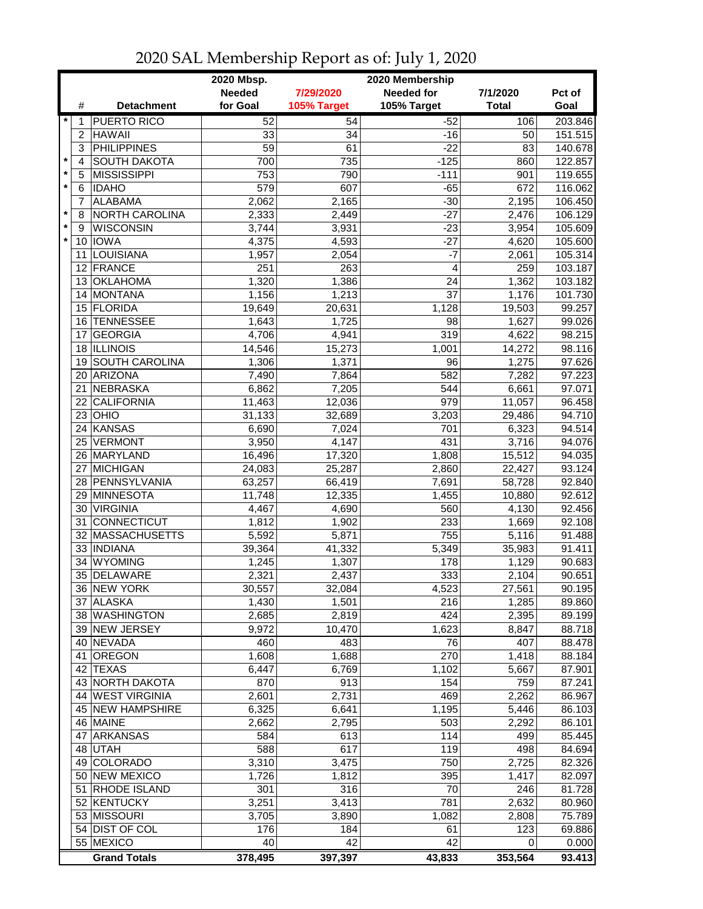| <b>Needed</b><br><b>Needed for</b><br>7/29/2020<br>7/1/2020<br>Pct of<br>for Goal<br><b>Detachment</b><br>105% Target<br>105% Target<br><b>Total</b><br>Goal<br>#<br>$\star$<br><b>PUERTO RICO</b><br>52<br>54<br>$-52$<br>106<br>1<br><b>HAWAII</b><br>33<br>151.515<br>2<br>34<br>$-16$<br>50<br><b>PHILIPPINES</b><br>3<br>59<br>61<br>$-22$<br>83<br>140.678<br>$\star$<br><b>SOUTH DAKOTA</b><br>735<br>$-125$<br>122.857<br>4<br>700<br>860<br>$\star$<br><b>MISSISSIPPI</b><br>753<br>790<br>$-111$<br>119.655<br>5<br>901<br>*<br><b>IDAHO</b><br>579<br>607<br>$-65$<br>6<br>672<br>116.062<br><b>ALABAMA</b><br>$-30$<br>106.450<br>2,062<br>2,165<br>2,195<br>7<br>$-27$<br>$\star$<br>NORTH CAROLINA<br>2,333<br>2,449<br>2,476<br>106.129<br>8<br>$\star$<br><b>WISCONSIN</b><br>3,744<br>3,931<br>$-23$<br>3,954<br>105.609<br>9<br>$\star$<br>10 IOWA<br>4,375<br>4,593<br>$-27$<br>4,620<br>105.600<br>LOUISIANA<br>2,054<br>$-7$<br>1,957<br>105.314<br>11<br>2,061<br>263<br>12 FRANCE<br>$\overline{4}$<br>251<br>259<br>103.187<br><b>OKLAHOMA</b><br>1,386<br>1,320<br>24<br>1,362<br>103.182<br>13<br><b>MONTANA</b><br>1,156<br>1,213<br>37<br>1,176<br>101.730<br>14<br>99.257<br>15 FLORIDA<br>20,631<br>1,128<br>19,649<br>19,503<br><b>TENNESSEE</b><br>1,725<br>98<br>1,627<br>99.026<br>16<br>1,643<br>319<br>4,622<br>98.215<br><b>GEORGIA</b><br>4,706<br>4,941<br>17<br>18 ILLINOIS<br>15,273<br>1,001<br>14,272<br>14,546<br><b>SOUTH CAROLINA</b><br>96<br>1,275<br>97.626<br>1,306<br>1,371<br>19<br>97.223<br><b>ARIZONA</b><br>7,490<br>582<br>7,282<br>20<br>7,864<br><b>NEBRASKA</b><br>97.071<br>21<br>6,862<br>7,205<br>544<br>6,661<br>979<br><b>CALIFORNIA</b><br>96.458<br>22<br>11,463<br>12,036<br>11,057<br>OHIO<br>94.710<br>23<br>31,133<br>32,689<br>3,203<br>29,486<br><b>KANSAS</b><br>701<br>94.514<br>6,690<br>7,024<br>6,323<br>24<br>431<br><b>VERMONT</b><br>3,950<br>4,147<br>3,716<br>94.076<br>25<br>26 MARYLAND<br>16,496<br>17,320<br>1,808<br>15,512<br>94.035<br>MICHIGAN<br>25,287<br>2,860<br>93.124<br>27<br>24,083<br>22,427<br>28 PENNSYLVANIA<br>66,419<br>7,691<br>92.840<br>63,257<br>58,728<br>12,335<br>92.612<br>29 MINNESOTA<br>11,748<br>1,455<br>10,880<br>30 VIRGINIA<br>560<br>92.456<br>4,467<br>4,690<br>4,130<br><b>CONNECTICUT</b><br>233<br>92.108<br>1,812<br>1,902<br>31<br>1,669<br>755<br><b>MASSACHUSETTS</b><br>5,592<br>5,871<br>91.488<br>5,116<br>32<br>33 INDIANA<br>41,332<br>5,349<br>91.411<br>39,364<br>35,983<br><b>WYOMING</b><br>1,307<br>178<br>90.683<br>34<br>1,245<br>1,129<br>333<br>35 DELAWARE<br>2,321<br>2,437<br>2,104<br>90.651<br>30,557<br>32,084<br>4,523<br>27,561<br>90.195<br>36 NEW YORK<br><b>ALASKA</b><br>1,430<br>1,501<br>216<br>1,285<br>89.860<br>37 I<br>38 WASHINGTON<br>2,685<br>2,819<br>424<br>2,395<br>89.199<br>39 NEW JERSEY<br>9,972<br>1,623<br>10,470<br>8,847<br>40 NEVADA<br>483<br>76<br>407<br>460<br>OREGON<br>1,608<br>1,688<br>270<br>1,418<br>41<br>6,447<br>6,769<br><b>TEXAS</b><br>1,102<br>5,667<br>87.901<br>42<br>43 NORTH DAKOTA<br>913<br>154<br>870<br>759<br>87.241<br>44 WEST VIRGINIA<br>2,731<br>469<br>2,601<br>2,262<br>86.967<br>45 NEW HAMPSHIRE<br>6,325<br>1,195<br>6,641<br>5,446<br>2,795<br>503<br>46 MAINE<br>2,662<br>2,292<br>86.101<br>114<br>47 ARKANSAS<br>613<br>85.445<br>584<br>499<br>617<br>119<br>48 UTAH<br>588<br>498<br>84.694<br>49 COLORADO<br>3,310<br>3,475<br>750<br>82.326<br>2,725<br>50 NEW MEXICO<br>1,726<br>1,812<br>395<br>1,417<br>82.097<br>51<br>RHODE ISLAND<br>301<br>316<br>70<br>246<br>81.728<br>52 KENTUCKY<br>3,251<br>3,413<br>781<br>2,632<br>80.960<br>53 MISSOURI<br>3,705<br>75.789<br>3,890<br>1,082<br>2,808<br>54 DIST OF COL<br>69.886<br>176<br>184<br>61<br>123<br>55 MEXICO<br>42<br>42<br>40<br>0.000<br>0<br>93.413<br><b>Grand Totals</b><br>378,495<br>397,397<br>43,833<br>353,564 |  | 2020 Mbsp.<br>2020 Membership |  |  |  |         |  |
|------------------------------------------------------------------------------------------------------------------------------------------------------------------------------------------------------------------------------------------------------------------------------------------------------------------------------------------------------------------------------------------------------------------------------------------------------------------------------------------------------------------------------------------------------------------------------------------------------------------------------------------------------------------------------------------------------------------------------------------------------------------------------------------------------------------------------------------------------------------------------------------------------------------------------------------------------------------------------------------------------------------------------------------------------------------------------------------------------------------------------------------------------------------------------------------------------------------------------------------------------------------------------------------------------------------------------------------------------------------------------------------------------------------------------------------------------------------------------------------------------------------------------------------------------------------------------------------------------------------------------------------------------------------------------------------------------------------------------------------------------------------------------------------------------------------------------------------------------------------------------------------------------------------------------------------------------------------------------------------------------------------------------------------------------------------------------------------------------------------------------------------------------------------------------------------------------------------------------------------------------------------------------------------------------------------------------------------------------------------------------------------------------------------------------------------------------------------------------------------------------------------------------------------------------------------------------------------------------------------------------------------------------------------------------------------------------------------------------------------------------------------------------------------------------------------------------------------------------------------------------------------------------------------------------------------------------------------------------------------------------------------------------------------------------------------------------------------------------------------------------------------------------------------------------------------------------------------------------------------------------------------------------------------------------------------------------------------------------------------------------------------------------------------------------------------------------------------------------------------------------------------------------------------------------------------------------------------------------------------------------------------------------------------------------------------------------------------------------------------------------------------------------------------------------------------------------------------------------------------------------------------------------------------|--|-------------------------------|--|--|--|---------|--|
|                                                                                                                                                                                                                                                                                                                                                                                                                                                                                                                                                                                                                                                                                                                                                                                                                                                                                                                                                                                                                                                                                                                                                                                                                                                                                                                                                                                                                                                                                                                                                                                                                                                                                                                                                                                                                                                                                                                                                                                                                                                                                                                                                                                                                                                                                                                                                                                                                                                                                                                                                                                                                                                                                                                                                                                                                                                                                                                                                                                                                                                                                                                                                                                                                                                                                                                                                                                                                                                                                                                                                                                                                                                                                                                                                                                                                                                                                                                  |  |                               |  |  |  |         |  |
|                                                                                                                                                                                                                                                                                                                                                                                                                                                                                                                                                                                                                                                                                                                                                                                                                                                                                                                                                                                                                                                                                                                                                                                                                                                                                                                                                                                                                                                                                                                                                                                                                                                                                                                                                                                                                                                                                                                                                                                                                                                                                                                                                                                                                                                                                                                                                                                                                                                                                                                                                                                                                                                                                                                                                                                                                                                                                                                                                                                                                                                                                                                                                                                                                                                                                                                                                                                                                                                                                                                                                                                                                                                                                                                                                                                                                                                                                                                  |  |                               |  |  |  |         |  |
|                                                                                                                                                                                                                                                                                                                                                                                                                                                                                                                                                                                                                                                                                                                                                                                                                                                                                                                                                                                                                                                                                                                                                                                                                                                                                                                                                                                                                                                                                                                                                                                                                                                                                                                                                                                                                                                                                                                                                                                                                                                                                                                                                                                                                                                                                                                                                                                                                                                                                                                                                                                                                                                                                                                                                                                                                                                                                                                                                                                                                                                                                                                                                                                                                                                                                                                                                                                                                                                                                                                                                                                                                                                                                                                                                                                                                                                                                                                  |  |                               |  |  |  | 203.846 |  |
|                                                                                                                                                                                                                                                                                                                                                                                                                                                                                                                                                                                                                                                                                                                                                                                                                                                                                                                                                                                                                                                                                                                                                                                                                                                                                                                                                                                                                                                                                                                                                                                                                                                                                                                                                                                                                                                                                                                                                                                                                                                                                                                                                                                                                                                                                                                                                                                                                                                                                                                                                                                                                                                                                                                                                                                                                                                                                                                                                                                                                                                                                                                                                                                                                                                                                                                                                                                                                                                                                                                                                                                                                                                                                                                                                                                                                                                                                                                  |  |                               |  |  |  |         |  |
|                                                                                                                                                                                                                                                                                                                                                                                                                                                                                                                                                                                                                                                                                                                                                                                                                                                                                                                                                                                                                                                                                                                                                                                                                                                                                                                                                                                                                                                                                                                                                                                                                                                                                                                                                                                                                                                                                                                                                                                                                                                                                                                                                                                                                                                                                                                                                                                                                                                                                                                                                                                                                                                                                                                                                                                                                                                                                                                                                                                                                                                                                                                                                                                                                                                                                                                                                                                                                                                                                                                                                                                                                                                                                                                                                                                                                                                                                                                  |  |                               |  |  |  |         |  |
|                                                                                                                                                                                                                                                                                                                                                                                                                                                                                                                                                                                                                                                                                                                                                                                                                                                                                                                                                                                                                                                                                                                                                                                                                                                                                                                                                                                                                                                                                                                                                                                                                                                                                                                                                                                                                                                                                                                                                                                                                                                                                                                                                                                                                                                                                                                                                                                                                                                                                                                                                                                                                                                                                                                                                                                                                                                                                                                                                                                                                                                                                                                                                                                                                                                                                                                                                                                                                                                                                                                                                                                                                                                                                                                                                                                                                                                                                                                  |  |                               |  |  |  |         |  |
|                                                                                                                                                                                                                                                                                                                                                                                                                                                                                                                                                                                                                                                                                                                                                                                                                                                                                                                                                                                                                                                                                                                                                                                                                                                                                                                                                                                                                                                                                                                                                                                                                                                                                                                                                                                                                                                                                                                                                                                                                                                                                                                                                                                                                                                                                                                                                                                                                                                                                                                                                                                                                                                                                                                                                                                                                                                                                                                                                                                                                                                                                                                                                                                                                                                                                                                                                                                                                                                                                                                                                                                                                                                                                                                                                                                                                                                                                                                  |  |                               |  |  |  |         |  |
|                                                                                                                                                                                                                                                                                                                                                                                                                                                                                                                                                                                                                                                                                                                                                                                                                                                                                                                                                                                                                                                                                                                                                                                                                                                                                                                                                                                                                                                                                                                                                                                                                                                                                                                                                                                                                                                                                                                                                                                                                                                                                                                                                                                                                                                                                                                                                                                                                                                                                                                                                                                                                                                                                                                                                                                                                                                                                                                                                                                                                                                                                                                                                                                                                                                                                                                                                                                                                                                                                                                                                                                                                                                                                                                                                                                                                                                                                                                  |  |                               |  |  |  |         |  |
|                                                                                                                                                                                                                                                                                                                                                                                                                                                                                                                                                                                                                                                                                                                                                                                                                                                                                                                                                                                                                                                                                                                                                                                                                                                                                                                                                                                                                                                                                                                                                                                                                                                                                                                                                                                                                                                                                                                                                                                                                                                                                                                                                                                                                                                                                                                                                                                                                                                                                                                                                                                                                                                                                                                                                                                                                                                                                                                                                                                                                                                                                                                                                                                                                                                                                                                                                                                                                                                                                                                                                                                                                                                                                                                                                                                                                                                                                                                  |  |                               |  |  |  |         |  |
|                                                                                                                                                                                                                                                                                                                                                                                                                                                                                                                                                                                                                                                                                                                                                                                                                                                                                                                                                                                                                                                                                                                                                                                                                                                                                                                                                                                                                                                                                                                                                                                                                                                                                                                                                                                                                                                                                                                                                                                                                                                                                                                                                                                                                                                                                                                                                                                                                                                                                                                                                                                                                                                                                                                                                                                                                                                                                                                                                                                                                                                                                                                                                                                                                                                                                                                                                                                                                                                                                                                                                                                                                                                                                                                                                                                                                                                                                                                  |  |                               |  |  |  |         |  |
|                                                                                                                                                                                                                                                                                                                                                                                                                                                                                                                                                                                                                                                                                                                                                                                                                                                                                                                                                                                                                                                                                                                                                                                                                                                                                                                                                                                                                                                                                                                                                                                                                                                                                                                                                                                                                                                                                                                                                                                                                                                                                                                                                                                                                                                                                                                                                                                                                                                                                                                                                                                                                                                                                                                                                                                                                                                                                                                                                                                                                                                                                                                                                                                                                                                                                                                                                                                                                                                                                                                                                                                                                                                                                                                                                                                                                                                                                                                  |  |                               |  |  |  |         |  |
|                                                                                                                                                                                                                                                                                                                                                                                                                                                                                                                                                                                                                                                                                                                                                                                                                                                                                                                                                                                                                                                                                                                                                                                                                                                                                                                                                                                                                                                                                                                                                                                                                                                                                                                                                                                                                                                                                                                                                                                                                                                                                                                                                                                                                                                                                                                                                                                                                                                                                                                                                                                                                                                                                                                                                                                                                                                                                                                                                                                                                                                                                                                                                                                                                                                                                                                                                                                                                                                                                                                                                                                                                                                                                                                                                                                                                                                                                                                  |  |                               |  |  |  |         |  |
|                                                                                                                                                                                                                                                                                                                                                                                                                                                                                                                                                                                                                                                                                                                                                                                                                                                                                                                                                                                                                                                                                                                                                                                                                                                                                                                                                                                                                                                                                                                                                                                                                                                                                                                                                                                                                                                                                                                                                                                                                                                                                                                                                                                                                                                                                                                                                                                                                                                                                                                                                                                                                                                                                                                                                                                                                                                                                                                                                                                                                                                                                                                                                                                                                                                                                                                                                                                                                                                                                                                                                                                                                                                                                                                                                                                                                                                                                                                  |  |                               |  |  |  |         |  |
|                                                                                                                                                                                                                                                                                                                                                                                                                                                                                                                                                                                                                                                                                                                                                                                                                                                                                                                                                                                                                                                                                                                                                                                                                                                                                                                                                                                                                                                                                                                                                                                                                                                                                                                                                                                                                                                                                                                                                                                                                                                                                                                                                                                                                                                                                                                                                                                                                                                                                                                                                                                                                                                                                                                                                                                                                                                                                                                                                                                                                                                                                                                                                                                                                                                                                                                                                                                                                                                                                                                                                                                                                                                                                                                                                                                                                                                                                                                  |  |                               |  |  |  |         |  |
|                                                                                                                                                                                                                                                                                                                                                                                                                                                                                                                                                                                                                                                                                                                                                                                                                                                                                                                                                                                                                                                                                                                                                                                                                                                                                                                                                                                                                                                                                                                                                                                                                                                                                                                                                                                                                                                                                                                                                                                                                                                                                                                                                                                                                                                                                                                                                                                                                                                                                                                                                                                                                                                                                                                                                                                                                                                                                                                                                                                                                                                                                                                                                                                                                                                                                                                                                                                                                                                                                                                                                                                                                                                                                                                                                                                                                                                                                                                  |  |                               |  |  |  |         |  |
|                                                                                                                                                                                                                                                                                                                                                                                                                                                                                                                                                                                                                                                                                                                                                                                                                                                                                                                                                                                                                                                                                                                                                                                                                                                                                                                                                                                                                                                                                                                                                                                                                                                                                                                                                                                                                                                                                                                                                                                                                                                                                                                                                                                                                                                                                                                                                                                                                                                                                                                                                                                                                                                                                                                                                                                                                                                                                                                                                                                                                                                                                                                                                                                                                                                                                                                                                                                                                                                                                                                                                                                                                                                                                                                                                                                                                                                                                                                  |  |                               |  |  |  |         |  |
|                                                                                                                                                                                                                                                                                                                                                                                                                                                                                                                                                                                                                                                                                                                                                                                                                                                                                                                                                                                                                                                                                                                                                                                                                                                                                                                                                                                                                                                                                                                                                                                                                                                                                                                                                                                                                                                                                                                                                                                                                                                                                                                                                                                                                                                                                                                                                                                                                                                                                                                                                                                                                                                                                                                                                                                                                                                                                                                                                                                                                                                                                                                                                                                                                                                                                                                                                                                                                                                                                                                                                                                                                                                                                                                                                                                                                                                                                                                  |  |                               |  |  |  |         |  |
|                                                                                                                                                                                                                                                                                                                                                                                                                                                                                                                                                                                                                                                                                                                                                                                                                                                                                                                                                                                                                                                                                                                                                                                                                                                                                                                                                                                                                                                                                                                                                                                                                                                                                                                                                                                                                                                                                                                                                                                                                                                                                                                                                                                                                                                                                                                                                                                                                                                                                                                                                                                                                                                                                                                                                                                                                                                                                                                                                                                                                                                                                                                                                                                                                                                                                                                                                                                                                                                                                                                                                                                                                                                                                                                                                                                                                                                                                                                  |  |                               |  |  |  |         |  |
|                                                                                                                                                                                                                                                                                                                                                                                                                                                                                                                                                                                                                                                                                                                                                                                                                                                                                                                                                                                                                                                                                                                                                                                                                                                                                                                                                                                                                                                                                                                                                                                                                                                                                                                                                                                                                                                                                                                                                                                                                                                                                                                                                                                                                                                                                                                                                                                                                                                                                                                                                                                                                                                                                                                                                                                                                                                                                                                                                                                                                                                                                                                                                                                                                                                                                                                                                                                                                                                                                                                                                                                                                                                                                                                                                                                                                                                                                                                  |  |                               |  |  |  | 98.116  |  |
|                                                                                                                                                                                                                                                                                                                                                                                                                                                                                                                                                                                                                                                                                                                                                                                                                                                                                                                                                                                                                                                                                                                                                                                                                                                                                                                                                                                                                                                                                                                                                                                                                                                                                                                                                                                                                                                                                                                                                                                                                                                                                                                                                                                                                                                                                                                                                                                                                                                                                                                                                                                                                                                                                                                                                                                                                                                                                                                                                                                                                                                                                                                                                                                                                                                                                                                                                                                                                                                                                                                                                                                                                                                                                                                                                                                                                                                                                                                  |  |                               |  |  |  |         |  |
|                                                                                                                                                                                                                                                                                                                                                                                                                                                                                                                                                                                                                                                                                                                                                                                                                                                                                                                                                                                                                                                                                                                                                                                                                                                                                                                                                                                                                                                                                                                                                                                                                                                                                                                                                                                                                                                                                                                                                                                                                                                                                                                                                                                                                                                                                                                                                                                                                                                                                                                                                                                                                                                                                                                                                                                                                                                                                                                                                                                                                                                                                                                                                                                                                                                                                                                                                                                                                                                                                                                                                                                                                                                                                                                                                                                                                                                                                                                  |  |                               |  |  |  |         |  |
|                                                                                                                                                                                                                                                                                                                                                                                                                                                                                                                                                                                                                                                                                                                                                                                                                                                                                                                                                                                                                                                                                                                                                                                                                                                                                                                                                                                                                                                                                                                                                                                                                                                                                                                                                                                                                                                                                                                                                                                                                                                                                                                                                                                                                                                                                                                                                                                                                                                                                                                                                                                                                                                                                                                                                                                                                                                                                                                                                                                                                                                                                                                                                                                                                                                                                                                                                                                                                                                                                                                                                                                                                                                                                                                                                                                                                                                                                                                  |  |                               |  |  |  |         |  |
|                                                                                                                                                                                                                                                                                                                                                                                                                                                                                                                                                                                                                                                                                                                                                                                                                                                                                                                                                                                                                                                                                                                                                                                                                                                                                                                                                                                                                                                                                                                                                                                                                                                                                                                                                                                                                                                                                                                                                                                                                                                                                                                                                                                                                                                                                                                                                                                                                                                                                                                                                                                                                                                                                                                                                                                                                                                                                                                                                                                                                                                                                                                                                                                                                                                                                                                                                                                                                                                                                                                                                                                                                                                                                                                                                                                                                                                                                                                  |  |                               |  |  |  |         |  |
|                                                                                                                                                                                                                                                                                                                                                                                                                                                                                                                                                                                                                                                                                                                                                                                                                                                                                                                                                                                                                                                                                                                                                                                                                                                                                                                                                                                                                                                                                                                                                                                                                                                                                                                                                                                                                                                                                                                                                                                                                                                                                                                                                                                                                                                                                                                                                                                                                                                                                                                                                                                                                                                                                                                                                                                                                                                                                                                                                                                                                                                                                                                                                                                                                                                                                                                                                                                                                                                                                                                                                                                                                                                                                                                                                                                                                                                                                                                  |  |                               |  |  |  |         |  |
|                                                                                                                                                                                                                                                                                                                                                                                                                                                                                                                                                                                                                                                                                                                                                                                                                                                                                                                                                                                                                                                                                                                                                                                                                                                                                                                                                                                                                                                                                                                                                                                                                                                                                                                                                                                                                                                                                                                                                                                                                                                                                                                                                                                                                                                                                                                                                                                                                                                                                                                                                                                                                                                                                                                                                                                                                                                                                                                                                                                                                                                                                                                                                                                                                                                                                                                                                                                                                                                                                                                                                                                                                                                                                                                                                                                                                                                                                                                  |  |                               |  |  |  |         |  |
|                                                                                                                                                                                                                                                                                                                                                                                                                                                                                                                                                                                                                                                                                                                                                                                                                                                                                                                                                                                                                                                                                                                                                                                                                                                                                                                                                                                                                                                                                                                                                                                                                                                                                                                                                                                                                                                                                                                                                                                                                                                                                                                                                                                                                                                                                                                                                                                                                                                                                                                                                                                                                                                                                                                                                                                                                                                                                                                                                                                                                                                                                                                                                                                                                                                                                                                                                                                                                                                                                                                                                                                                                                                                                                                                                                                                                                                                                                                  |  |                               |  |  |  |         |  |
|                                                                                                                                                                                                                                                                                                                                                                                                                                                                                                                                                                                                                                                                                                                                                                                                                                                                                                                                                                                                                                                                                                                                                                                                                                                                                                                                                                                                                                                                                                                                                                                                                                                                                                                                                                                                                                                                                                                                                                                                                                                                                                                                                                                                                                                                                                                                                                                                                                                                                                                                                                                                                                                                                                                                                                                                                                                                                                                                                                                                                                                                                                                                                                                                                                                                                                                                                                                                                                                                                                                                                                                                                                                                                                                                                                                                                                                                                                                  |  |                               |  |  |  |         |  |
|                                                                                                                                                                                                                                                                                                                                                                                                                                                                                                                                                                                                                                                                                                                                                                                                                                                                                                                                                                                                                                                                                                                                                                                                                                                                                                                                                                                                                                                                                                                                                                                                                                                                                                                                                                                                                                                                                                                                                                                                                                                                                                                                                                                                                                                                                                                                                                                                                                                                                                                                                                                                                                                                                                                                                                                                                                                                                                                                                                                                                                                                                                                                                                                                                                                                                                                                                                                                                                                                                                                                                                                                                                                                                                                                                                                                                                                                                                                  |  |                               |  |  |  |         |  |
|                                                                                                                                                                                                                                                                                                                                                                                                                                                                                                                                                                                                                                                                                                                                                                                                                                                                                                                                                                                                                                                                                                                                                                                                                                                                                                                                                                                                                                                                                                                                                                                                                                                                                                                                                                                                                                                                                                                                                                                                                                                                                                                                                                                                                                                                                                                                                                                                                                                                                                                                                                                                                                                                                                                                                                                                                                                                                                                                                                                                                                                                                                                                                                                                                                                                                                                                                                                                                                                                                                                                                                                                                                                                                                                                                                                                                                                                                                                  |  |                               |  |  |  |         |  |
|                                                                                                                                                                                                                                                                                                                                                                                                                                                                                                                                                                                                                                                                                                                                                                                                                                                                                                                                                                                                                                                                                                                                                                                                                                                                                                                                                                                                                                                                                                                                                                                                                                                                                                                                                                                                                                                                                                                                                                                                                                                                                                                                                                                                                                                                                                                                                                                                                                                                                                                                                                                                                                                                                                                                                                                                                                                                                                                                                                                                                                                                                                                                                                                                                                                                                                                                                                                                                                                                                                                                                                                                                                                                                                                                                                                                                                                                                                                  |  |                               |  |  |  |         |  |
|                                                                                                                                                                                                                                                                                                                                                                                                                                                                                                                                                                                                                                                                                                                                                                                                                                                                                                                                                                                                                                                                                                                                                                                                                                                                                                                                                                                                                                                                                                                                                                                                                                                                                                                                                                                                                                                                                                                                                                                                                                                                                                                                                                                                                                                                                                                                                                                                                                                                                                                                                                                                                                                                                                                                                                                                                                                                                                                                                                                                                                                                                                                                                                                                                                                                                                                                                                                                                                                                                                                                                                                                                                                                                                                                                                                                                                                                                                                  |  |                               |  |  |  |         |  |
|                                                                                                                                                                                                                                                                                                                                                                                                                                                                                                                                                                                                                                                                                                                                                                                                                                                                                                                                                                                                                                                                                                                                                                                                                                                                                                                                                                                                                                                                                                                                                                                                                                                                                                                                                                                                                                                                                                                                                                                                                                                                                                                                                                                                                                                                                                                                                                                                                                                                                                                                                                                                                                                                                                                                                                                                                                                                                                                                                                                                                                                                                                                                                                                                                                                                                                                                                                                                                                                                                                                                                                                                                                                                                                                                                                                                                                                                                                                  |  |                               |  |  |  |         |  |
|                                                                                                                                                                                                                                                                                                                                                                                                                                                                                                                                                                                                                                                                                                                                                                                                                                                                                                                                                                                                                                                                                                                                                                                                                                                                                                                                                                                                                                                                                                                                                                                                                                                                                                                                                                                                                                                                                                                                                                                                                                                                                                                                                                                                                                                                                                                                                                                                                                                                                                                                                                                                                                                                                                                                                                                                                                                                                                                                                                                                                                                                                                                                                                                                                                                                                                                                                                                                                                                                                                                                                                                                                                                                                                                                                                                                                                                                                                                  |  |                               |  |  |  |         |  |
|                                                                                                                                                                                                                                                                                                                                                                                                                                                                                                                                                                                                                                                                                                                                                                                                                                                                                                                                                                                                                                                                                                                                                                                                                                                                                                                                                                                                                                                                                                                                                                                                                                                                                                                                                                                                                                                                                                                                                                                                                                                                                                                                                                                                                                                                                                                                                                                                                                                                                                                                                                                                                                                                                                                                                                                                                                                                                                                                                                                                                                                                                                                                                                                                                                                                                                                                                                                                                                                                                                                                                                                                                                                                                                                                                                                                                                                                                                                  |  |                               |  |  |  |         |  |
|                                                                                                                                                                                                                                                                                                                                                                                                                                                                                                                                                                                                                                                                                                                                                                                                                                                                                                                                                                                                                                                                                                                                                                                                                                                                                                                                                                                                                                                                                                                                                                                                                                                                                                                                                                                                                                                                                                                                                                                                                                                                                                                                                                                                                                                                                                                                                                                                                                                                                                                                                                                                                                                                                                                                                                                                                                                                                                                                                                                                                                                                                                                                                                                                                                                                                                                                                                                                                                                                                                                                                                                                                                                                                                                                                                                                                                                                                                                  |  |                               |  |  |  |         |  |
|                                                                                                                                                                                                                                                                                                                                                                                                                                                                                                                                                                                                                                                                                                                                                                                                                                                                                                                                                                                                                                                                                                                                                                                                                                                                                                                                                                                                                                                                                                                                                                                                                                                                                                                                                                                                                                                                                                                                                                                                                                                                                                                                                                                                                                                                                                                                                                                                                                                                                                                                                                                                                                                                                                                                                                                                                                                                                                                                                                                                                                                                                                                                                                                                                                                                                                                                                                                                                                                                                                                                                                                                                                                                                                                                                                                                                                                                                                                  |  |                               |  |  |  |         |  |
|                                                                                                                                                                                                                                                                                                                                                                                                                                                                                                                                                                                                                                                                                                                                                                                                                                                                                                                                                                                                                                                                                                                                                                                                                                                                                                                                                                                                                                                                                                                                                                                                                                                                                                                                                                                                                                                                                                                                                                                                                                                                                                                                                                                                                                                                                                                                                                                                                                                                                                                                                                                                                                                                                                                                                                                                                                                                                                                                                                                                                                                                                                                                                                                                                                                                                                                                                                                                                                                                                                                                                                                                                                                                                                                                                                                                                                                                                                                  |  |                               |  |  |  |         |  |
|                                                                                                                                                                                                                                                                                                                                                                                                                                                                                                                                                                                                                                                                                                                                                                                                                                                                                                                                                                                                                                                                                                                                                                                                                                                                                                                                                                                                                                                                                                                                                                                                                                                                                                                                                                                                                                                                                                                                                                                                                                                                                                                                                                                                                                                                                                                                                                                                                                                                                                                                                                                                                                                                                                                                                                                                                                                                                                                                                                                                                                                                                                                                                                                                                                                                                                                                                                                                                                                                                                                                                                                                                                                                                                                                                                                                                                                                                                                  |  |                               |  |  |  |         |  |
|                                                                                                                                                                                                                                                                                                                                                                                                                                                                                                                                                                                                                                                                                                                                                                                                                                                                                                                                                                                                                                                                                                                                                                                                                                                                                                                                                                                                                                                                                                                                                                                                                                                                                                                                                                                                                                                                                                                                                                                                                                                                                                                                                                                                                                                                                                                                                                                                                                                                                                                                                                                                                                                                                                                                                                                                                                                                                                                                                                                                                                                                                                                                                                                                                                                                                                                                                                                                                                                                                                                                                                                                                                                                                                                                                                                                                                                                                                                  |  |                               |  |  |  | 88.718  |  |
|                                                                                                                                                                                                                                                                                                                                                                                                                                                                                                                                                                                                                                                                                                                                                                                                                                                                                                                                                                                                                                                                                                                                                                                                                                                                                                                                                                                                                                                                                                                                                                                                                                                                                                                                                                                                                                                                                                                                                                                                                                                                                                                                                                                                                                                                                                                                                                                                                                                                                                                                                                                                                                                                                                                                                                                                                                                                                                                                                                                                                                                                                                                                                                                                                                                                                                                                                                                                                                                                                                                                                                                                                                                                                                                                                                                                                                                                                                                  |  |                               |  |  |  | 88.478  |  |
|                                                                                                                                                                                                                                                                                                                                                                                                                                                                                                                                                                                                                                                                                                                                                                                                                                                                                                                                                                                                                                                                                                                                                                                                                                                                                                                                                                                                                                                                                                                                                                                                                                                                                                                                                                                                                                                                                                                                                                                                                                                                                                                                                                                                                                                                                                                                                                                                                                                                                                                                                                                                                                                                                                                                                                                                                                                                                                                                                                                                                                                                                                                                                                                                                                                                                                                                                                                                                                                                                                                                                                                                                                                                                                                                                                                                                                                                                                                  |  |                               |  |  |  | 88.184  |  |
|                                                                                                                                                                                                                                                                                                                                                                                                                                                                                                                                                                                                                                                                                                                                                                                                                                                                                                                                                                                                                                                                                                                                                                                                                                                                                                                                                                                                                                                                                                                                                                                                                                                                                                                                                                                                                                                                                                                                                                                                                                                                                                                                                                                                                                                                                                                                                                                                                                                                                                                                                                                                                                                                                                                                                                                                                                                                                                                                                                                                                                                                                                                                                                                                                                                                                                                                                                                                                                                                                                                                                                                                                                                                                                                                                                                                                                                                                                                  |  |                               |  |  |  |         |  |
|                                                                                                                                                                                                                                                                                                                                                                                                                                                                                                                                                                                                                                                                                                                                                                                                                                                                                                                                                                                                                                                                                                                                                                                                                                                                                                                                                                                                                                                                                                                                                                                                                                                                                                                                                                                                                                                                                                                                                                                                                                                                                                                                                                                                                                                                                                                                                                                                                                                                                                                                                                                                                                                                                                                                                                                                                                                                                                                                                                                                                                                                                                                                                                                                                                                                                                                                                                                                                                                                                                                                                                                                                                                                                                                                                                                                                                                                                                                  |  |                               |  |  |  |         |  |
|                                                                                                                                                                                                                                                                                                                                                                                                                                                                                                                                                                                                                                                                                                                                                                                                                                                                                                                                                                                                                                                                                                                                                                                                                                                                                                                                                                                                                                                                                                                                                                                                                                                                                                                                                                                                                                                                                                                                                                                                                                                                                                                                                                                                                                                                                                                                                                                                                                                                                                                                                                                                                                                                                                                                                                                                                                                                                                                                                                                                                                                                                                                                                                                                                                                                                                                                                                                                                                                                                                                                                                                                                                                                                                                                                                                                                                                                                                                  |  |                               |  |  |  |         |  |
|                                                                                                                                                                                                                                                                                                                                                                                                                                                                                                                                                                                                                                                                                                                                                                                                                                                                                                                                                                                                                                                                                                                                                                                                                                                                                                                                                                                                                                                                                                                                                                                                                                                                                                                                                                                                                                                                                                                                                                                                                                                                                                                                                                                                                                                                                                                                                                                                                                                                                                                                                                                                                                                                                                                                                                                                                                                                                                                                                                                                                                                                                                                                                                                                                                                                                                                                                                                                                                                                                                                                                                                                                                                                                                                                                                                                                                                                                                                  |  |                               |  |  |  | 86.103  |  |
|                                                                                                                                                                                                                                                                                                                                                                                                                                                                                                                                                                                                                                                                                                                                                                                                                                                                                                                                                                                                                                                                                                                                                                                                                                                                                                                                                                                                                                                                                                                                                                                                                                                                                                                                                                                                                                                                                                                                                                                                                                                                                                                                                                                                                                                                                                                                                                                                                                                                                                                                                                                                                                                                                                                                                                                                                                                                                                                                                                                                                                                                                                                                                                                                                                                                                                                                                                                                                                                                                                                                                                                                                                                                                                                                                                                                                                                                                                                  |  |                               |  |  |  |         |  |
|                                                                                                                                                                                                                                                                                                                                                                                                                                                                                                                                                                                                                                                                                                                                                                                                                                                                                                                                                                                                                                                                                                                                                                                                                                                                                                                                                                                                                                                                                                                                                                                                                                                                                                                                                                                                                                                                                                                                                                                                                                                                                                                                                                                                                                                                                                                                                                                                                                                                                                                                                                                                                                                                                                                                                                                                                                                                                                                                                                                                                                                                                                                                                                                                                                                                                                                                                                                                                                                                                                                                                                                                                                                                                                                                                                                                                                                                                                                  |  |                               |  |  |  |         |  |
|                                                                                                                                                                                                                                                                                                                                                                                                                                                                                                                                                                                                                                                                                                                                                                                                                                                                                                                                                                                                                                                                                                                                                                                                                                                                                                                                                                                                                                                                                                                                                                                                                                                                                                                                                                                                                                                                                                                                                                                                                                                                                                                                                                                                                                                                                                                                                                                                                                                                                                                                                                                                                                                                                                                                                                                                                                                                                                                                                                                                                                                                                                                                                                                                                                                                                                                                                                                                                                                                                                                                                                                                                                                                                                                                                                                                                                                                                                                  |  |                               |  |  |  |         |  |
|                                                                                                                                                                                                                                                                                                                                                                                                                                                                                                                                                                                                                                                                                                                                                                                                                                                                                                                                                                                                                                                                                                                                                                                                                                                                                                                                                                                                                                                                                                                                                                                                                                                                                                                                                                                                                                                                                                                                                                                                                                                                                                                                                                                                                                                                                                                                                                                                                                                                                                                                                                                                                                                                                                                                                                                                                                                                                                                                                                                                                                                                                                                                                                                                                                                                                                                                                                                                                                                                                                                                                                                                                                                                                                                                                                                                                                                                                                                  |  |                               |  |  |  |         |  |
|                                                                                                                                                                                                                                                                                                                                                                                                                                                                                                                                                                                                                                                                                                                                                                                                                                                                                                                                                                                                                                                                                                                                                                                                                                                                                                                                                                                                                                                                                                                                                                                                                                                                                                                                                                                                                                                                                                                                                                                                                                                                                                                                                                                                                                                                                                                                                                                                                                                                                                                                                                                                                                                                                                                                                                                                                                                                                                                                                                                                                                                                                                                                                                                                                                                                                                                                                                                                                                                                                                                                                                                                                                                                                                                                                                                                                                                                                                                  |  |                               |  |  |  |         |  |
|                                                                                                                                                                                                                                                                                                                                                                                                                                                                                                                                                                                                                                                                                                                                                                                                                                                                                                                                                                                                                                                                                                                                                                                                                                                                                                                                                                                                                                                                                                                                                                                                                                                                                                                                                                                                                                                                                                                                                                                                                                                                                                                                                                                                                                                                                                                                                                                                                                                                                                                                                                                                                                                                                                                                                                                                                                                                                                                                                                                                                                                                                                                                                                                                                                                                                                                                                                                                                                                                                                                                                                                                                                                                                                                                                                                                                                                                                                                  |  |                               |  |  |  |         |  |
|                                                                                                                                                                                                                                                                                                                                                                                                                                                                                                                                                                                                                                                                                                                                                                                                                                                                                                                                                                                                                                                                                                                                                                                                                                                                                                                                                                                                                                                                                                                                                                                                                                                                                                                                                                                                                                                                                                                                                                                                                                                                                                                                                                                                                                                                                                                                                                                                                                                                                                                                                                                                                                                                                                                                                                                                                                                                                                                                                                                                                                                                                                                                                                                                                                                                                                                                                                                                                                                                                                                                                                                                                                                                                                                                                                                                                                                                                                                  |  |                               |  |  |  |         |  |
|                                                                                                                                                                                                                                                                                                                                                                                                                                                                                                                                                                                                                                                                                                                                                                                                                                                                                                                                                                                                                                                                                                                                                                                                                                                                                                                                                                                                                                                                                                                                                                                                                                                                                                                                                                                                                                                                                                                                                                                                                                                                                                                                                                                                                                                                                                                                                                                                                                                                                                                                                                                                                                                                                                                                                                                                                                                                                                                                                                                                                                                                                                                                                                                                                                                                                                                                                                                                                                                                                                                                                                                                                                                                                                                                                                                                                                                                                                                  |  |                               |  |  |  |         |  |
|                                                                                                                                                                                                                                                                                                                                                                                                                                                                                                                                                                                                                                                                                                                                                                                                                                                                                                                                                                                                                                                                                                                                                                                                                                                                                                                                                                                                                                                                                                                                                                                                                                                                                                                                                                                                                                                                                                                                                                                                                                                                                                                                                                                                                                                                                                                                                                                                                                                                                                                                                                                                                                                                                                                                                                                                                                                                                                                                                                                                                                                                                                                                                                                                                                                                                                                                                                                                                                                                                                                                                                                                                                                                                                                                                                                                                                                                                                                  |  |                               |  |  |  |         |  |
|                                                                                                                                                                                                                                                                                                                                                                                                                                                                                                                                                                                                                                                                                                                                                                                                                                                                                                                                                                                                                                                                                                                                                                                                                                                                                                                                                                                                                                                                                                                                                                                                                                                                                                                                                                                                                                                                                                                                                                                                                                                                                                                                                                                                                                                                                                                                                                                                                                                                                                                                                                                                                                                                                                                                                                                                                                                                                                                                                                                                                                                                                                                                                                                                                                                                                                                                                                                                                                                                                                                                                                                                                                                                                                                                                                                                                                                                                                                  |  |                               |  |  |  |         |  |

## 2020 SAL Membership Report as of: July 1, 2020